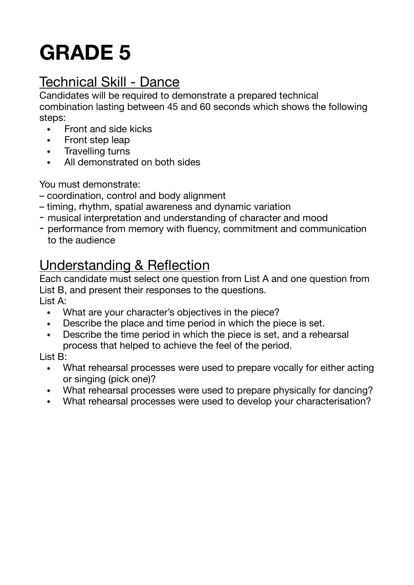# **GRADE 5**

## Technical Skill - Dance

Candidates will be required to demonstrate a prepared technical combination lasting between 45 and 60 seconds which shows the following steps:

- Front and side kicks
- Front step leap
- Travelling turns
- All demonstrated on both sides

You must demonstrate:

- coordination, control and body alignment
- timing, rhythm, spatial awareness and dynamic variation
- musical interpretation and understanding of character and mood
- performance from memory with fluency, commitment and communication to the audience

## Understanding & Reflection

Each candidate must select one question from List A and one question from List B, and present their responses to the questions.

List A:

- What are your character's objectives in the piece?
- Describe the place and time period in which the piece is set.
- Describe the time period in which the piece is set, and a rehearsal process that helped to achieve the feel of the period.

List B:

- What rehearsal processes were used to prepare vocally for either acting or singing (pick one)?
- What rehearsal processes were used to prepare physically for dancing?
- What rehearsal processes were used to develop your characterisation?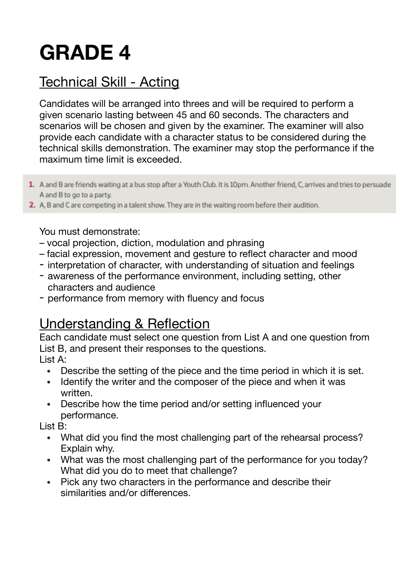# **GRADE 4**

## Technical Skill - Acting

Candidates will be arranged into threes and will be required to perform a given scenario lasting between 45 and 60 seconds. The characters and scenarios will be chosen and given by the examiner. The examiner will also provide each candidate with a character status to be considered during the technical skills demonstration. The examiner may stop the performance if the maximum time limit is exceeded.

- 1. A and B are friends waiting at a bus stop after a Youth Club. It is 10pm. Another friend, C, arrives and tries to persuade A and B to go to a party.
- 2. A, B and C are competing in a talent show. They are in the waiting room before their audition.

#### You must demonstrate:

- vocal projection, diction, modulation and phrasing
- facial expression, movement and gesture to reflect character and mood
- interpretation of character, with understanding of situation and feelings
- awareness of the performance environment, including setting, other characters and audience
- performance from memory with fluency and focus

### Understanding & Reflection

Each candidate must select one question from List A and one question from List B, and present their responses to the questions.

List A:

- Describe the setting of the piece and the time period in which it is set.
- Identify the writer and the composer of the piece and when it was written.
- Describe how the time period and/or setting influenced your performance.

List B:

- What did you find the most challenging part of the rehearsal process? Explain why.
- What was the most challenging part of the performance for you today? What did you do to meet that challenge?
- Pick any two characters in the performance and describe their similarities and/or differences.